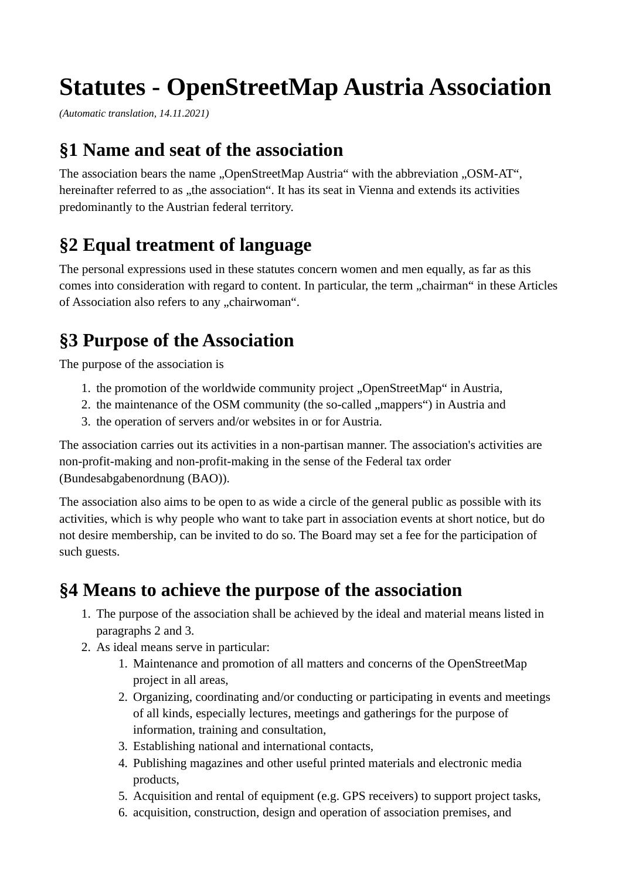# **Statutes - OpenStreetMap Austria Association**

*(Automatic translation, 14.11.2021)*

#### **§1 Name and seat of the association**

The association bears the name "OpenStreetMap Austria" with the abbreviation "OSM-AT", hereinafter referred to as "the association". It has its seat in Vienna and extends its activities predominantly to the Austrian federal territory.

### **§2 Equal treatment of language**

The personal expressions used in these statutes concern women and men equally, as far as this comes into consideration with regard to content. In particular, the term "chairman" in these Articles of Association also refers to any "chairwoman".

### **§3 Purpose of the Association**

The purpose of the association is

- 1. the promotion of the worldwide community project "OpenStreetMap" in Austria,
- 2. the maintenance of the OSM community (the so-called "mappers") in Austria and
- 3. the operation of servers and/or websites in or for Austria.

The association carries out its activities in a non-partisan manner. The association's activities are non-profit-making and non-profit-making in the sense of the Federal tax order (Bundesabgabenordnung (BAO)).

The association also aims to be open to as wide a circle of the general public as possible with its activities, which is why people who want to take part in association events at short notice, but do not desire membership, can be invited to do so. The Board may set a fee for the participation of such guests.

#### **§4 Means to achieve the purpose of the association**

- 1. The purpose of the association shall be achieved by the ideal and material means listed in paragraphs 2 and 3.
- 2. As ideal means serve in particular:
	- 1. Maintenance and promotion of all matters and concerns of the OpenStreetMap project in all areas,
	- 2. Organizing, coordinating and/or conducting or participating in events and meetings of all kinds, especially lectures, meetings and gatherings for the purpose of information, training and consultation,
	- 3. Establishing national and international contacts,
	- 4. Publishing magazines and other useful printed materials and electronic media products,
	- 5. Acquisition and rental of equipment (e.g. GPS receivers) to support project tasks,
	- 6. acquisition, construction, design and operation of association premises, and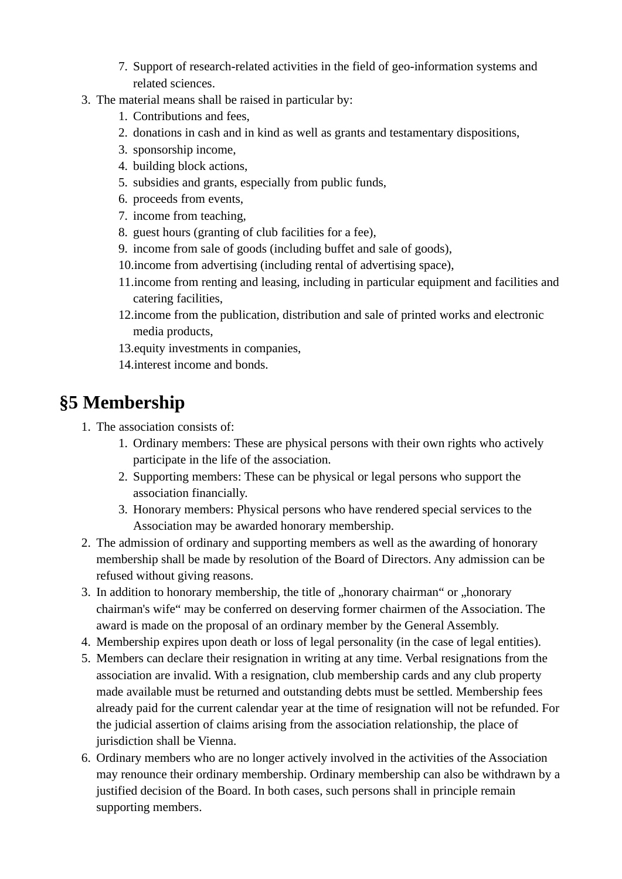- 7. Support of research-related activities in the field of geo-information systems and related sciences.
- 3. The material means shall be raised in particular by:
	- 1. Contributions and fees,
	- 2. donations in cash and in kind as well as grants and testamentary dispositions,
	- 3. sponsorship income,
	- 4. building block actions,
	- 5. subsidies and grants, especially from public funds,
	- 6. proceeds from events,
	- 7. income from teaching,
	- 8. guest hours (granting of club facilities for a fee),
	- 9. income from sale of goods (including buffet and sale of goods),
	- 10.income from advertising (including rental of advertising space),
	- 11.income from renting and leasing, including in particular equipment and facilities and catering facilities,
	- 12.income from the publication, distribution and sale of printed works and electronic media products,
	- 13.equity investments in companies,
	- 14.interest income and bonds.

### **§5 Membership**

- 1. The association consists of:
	- 1. Ordinary members: These are physical persons with their own rights who actively participate in the life of the association.
	- 2. Supporting members: These can be physical or legal persons who support the association financially.
	- 3. Honorary members: Physical persons who have rendered special services to the Association may be awarded honorary membership.
- 2. The admission of ordinary and supporting members as well as the awarding of honorary membership shall be made by resolution of the Board of Directors. Any admission can be refused without giving reasons.
- 3. In addition to honorary membership, the title of "honorary chairman" or "honorary chairman's wife" may be conferred on deserving former chairmen of the Association. The award is made on the proposal of an ordinary member by the General Assembly.
- 4. Membership expires upon death or loss of legal personality (in the case of legal entities).
- 5. Members can declare their resignation in writing at any time. Verbal resignations from the association are invalid. With a resignation, club membership cards and any club property made available must be returned and outstanding debts must be settled. Membership fees already paid for the current calendar year at the time of resignation will not be refunded. For the judicial assertion of claims arising from the association relationship, the place of jurisdiction shall be Vienna.
- 6. Ordinary members who are no longer actively involved in the activities of the Association may renounce their ordinary membership. Ordinary membership can also be withdrawn by a justified decision of the Board. In both cases, such persons shall in principle remain supporting members.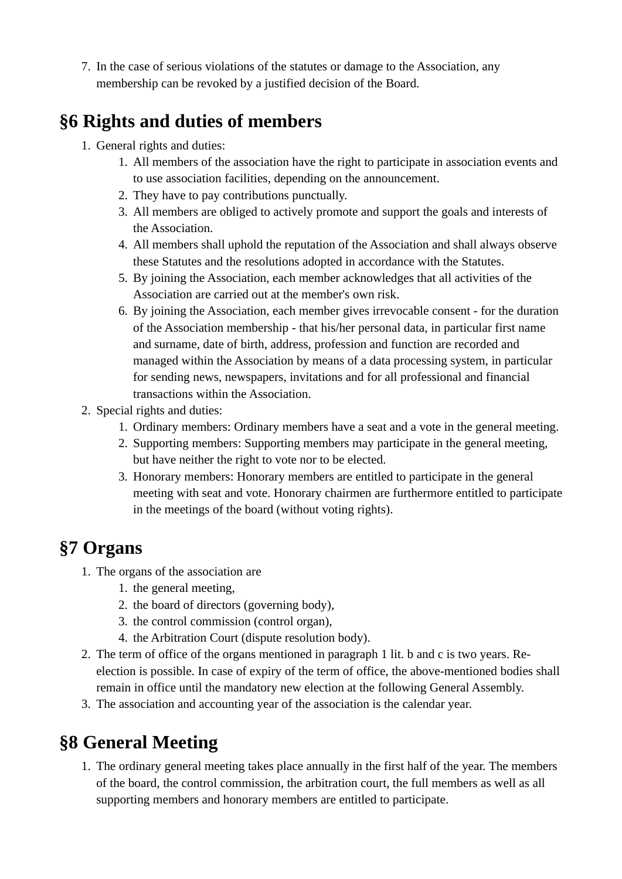7. In the case of serious violations of the statutes or damage to the Association, any membership can be revoked by a justified decision of the Board.

### **§6 Rights and duties of members**

- 1. General rights and duties:
	- 1. All members of the association have the right to participate in association events and to use association facilities, depending on the announcement.
	- 2. They have to pay contributions punctually.
	- 3. All members are obliged to actively promote and support the goals and interests of the Association.
	- 4. All members shall uphold the reputation of the Association and shall always observe these Statutes and the resolutions adopted in accordance with the Statutes.
	- 5. By joining the Association, each member acknowledges that all activities of the Association are carried out at the member's own risk.
	- 6. By joining the Association, each member gives irrevocable consent for the duration of the Association membership - that his/her personal data, in particular first name and surname, date of birth, address, profession and function are recorded and managed within the Association by means of a data processing system, in particular for sending news, newspapers, invitations and for all professional and financial transactions within the Association.
- 2. Special rights and duties:
	- 1. Ordinary members: Ordinary members have a seat and a vote in the general meeting.
	- 2. Supporting members: Supporting members may participate in the general meeting, but have neither the right to vote nor to be elected.
	- 3. Honorary members: Honorary members are entitled to participate in the general meeting with seat and vote. Honorary chairmen are furthermore entitled to participate in the meetings of the board (without voting rights).

# **§7 Organs**

- 1. The organs of the association are
	- 1. the general meeting,
	- 2. the board of directors (governing body),
	- 3. the control commission (control organ),
	- 4. the Arbitration Court (dispute resolution body).
- 2. The term of office of the organs mentioned in paragraph 1 lit. b and c is two years. Reelection is possible. In case of expiry of the term of office, the above-mentioned bodies shall remain in office until the mandatory new election at the following General Assembly.
- 3. The association and accounting year of the association is the calendar year.

# **§8 General Meeting**

1. The ordinary general meeting takes place annually in the first half of the year. The members of the board, the control commission, the arbitration court, the full members as well as all supporting members and honorary members are entitled to participate.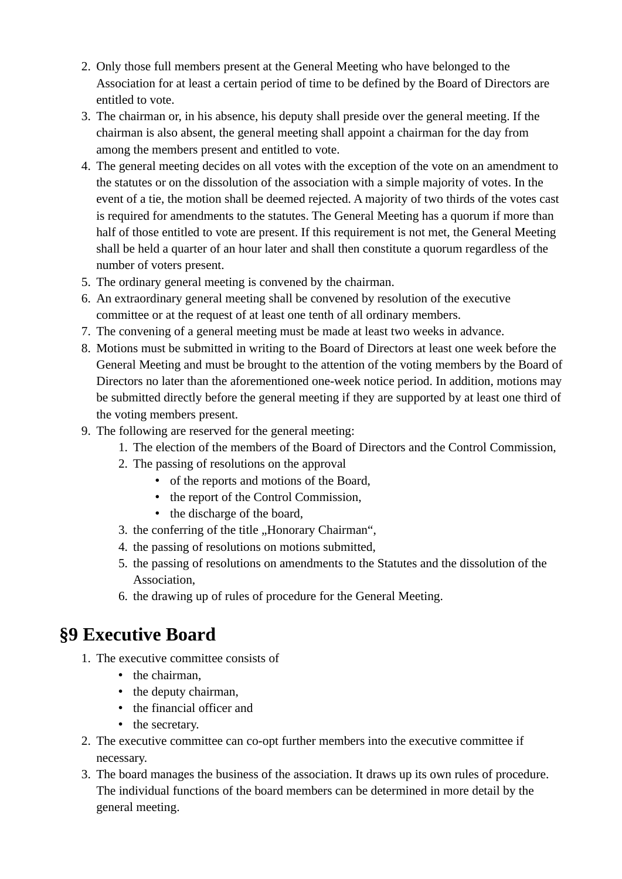- 2. Only those full members present at the General Meeting who have belonged to the Association for at least a certain period of time to be defined by the Board of Directors are entitled to vote.
- 3. The chairman or, in his absence, his deputy shall preside over the general meeting. If the chairman is also absent, the general meeting shall appoint a chairman for the day from among the members present and entitled to vote.
- 4. The general meeting decides on all votes with the exception of the vote on an amendment to the statutes or on the dissolution of the association with a simple majority of votes. In the event of a tie, the motion shall be deemed rejected. A majority of two thirds of the votes cast is required for amendments to the statutes. The General Meeting has a quorum if more than half of those entitled to vote are present. If this requirement is not met, the General Meeting shall be held a quarter of an hour later and shall then constitute a quorum regardless of the number of voters present.
- 5. The ordinary general meeting is convened by the chairman.
- 6. An extraordinary general meeting shall be convened by resolution of the executive committee or at the request of at least one tenth of all ordinary members.
- 7. The convening of a general meeting must be made at least two weeks in advance.
- 8. Motions must be submitted in writing to the Board of Directors at least one week before the General Meeting and must be brought to the attention of the voting members by the Board of Directors no later than the aforementioned one-week notice period. In addition, motions may be submitted directly before the general meeting if they are supported by at least one third of the voting members present.
- 9. The following are reserved for the general meeting:
	- 1. The election of the members of the Board of Directors and the Control Commission,
	- 2. The passing of resolutions on the approval
		- of the reports and motions of the Board,
		- the report of the Control Commission,
		- the discharge of the board,
	- 3. the conferring of the title "Honorary Chairman",
	- 4. the passing of resolutions on motions submitted,
	- 5. the passing of resolutions on amendments to the Statutes and the dissolution of the Association,
	- 6. the drawing up of rules of procedure for the General Meeting.

#### **§9 Executive Board**

- 1. The executive committee consists of
	- the chairman,
	- the deputy chairman,
	- the financial officer and
	- the secretary.
- 2. The executive committee can co-opt further members into the executive committee if necessary.
- 3. The board manages the business of the association. It draws up its own rules of procedure. The individual functions of the board members can be determined in more detail by the general meeting.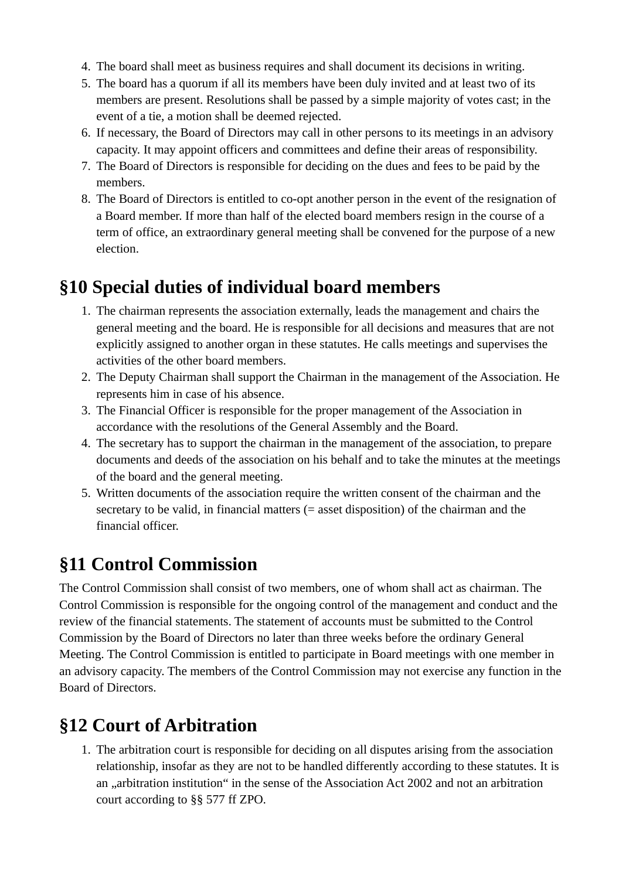- 4. The board shall meet as business requires and shall document its decisions in writing.
- 5. The board has a quorum if all its members have been duly invited and at least two of its members are present. Resolutions shall be passed by a simple majority of votes cast; in the event of a tie, a motion shall be deemed rejected.
- 6. If necessary, the Board of Directors may call in other persons to its meetings in an advisory capacity. It may appoint officers and committees and define their areas of responsibility.
- 7. The Board of Directors is responsible for deciding on the dues and fees to be paid by the members.
- 8. The Board of Directors is entitled to co-opt another person in the event of the resignation of a Board member. If more than half of the elected board members resign in the course of a term of office, an extraordinary general meeting shall be convened for the purpose of a new election.

### **§10 Special duties of individual board members**

- 1. The chairman represents the association externally, leads the management and chairs the general meeting and the board. He is responsible for all decisions and measures that are not explicitly assigned to another organ in these statutes. He calls meetings and supervises the activities of the other board members.
- 2. The Deputy Chairman shall support the Chairman in the management of the Association. He represents him in case of his absence.
- 3. The Financial Officer is responsible for the proper management of the Association in accordance with the resolutions of the General Assembly and the Board.
- 4. The secretary has to support the chairman in the management of the association, to prepare documents and deeds of the association on his behalf and to take the minutes at the meetings of the board and the general meeting.
- 5. Written documents of the association require the written consent of the chairman and the secretary to be valid, in financial matters (= asset disposition) of the chairman and the financial officer.

### **§11 Control Commission**

The Control Commission shall consist of two members, one of whom shall act as chairman. The Control Commission is responsible for the ongoing control of the management and conduct and the review of the financial statements. The statement of accounts must be submitted to the Control Commission by the Board of Directors no later than three weeks before the ordinary General Meeting. The Control Commission is entitled to participate in Board meetings with one member in an advisory capacity. The members of the Control Commission may not exercise any function in the Board of Directors.

### **§12 Court of Arbitration**

1. The arbitration court is responsible for deciding on all disputes arising from the association relationship, insofar as they are not to be handled differently according to these statutes. It is an "arbitration institution" in the sense of the Association Act 2002 and not an arbitration court according to §§ 577 ff ZPO.